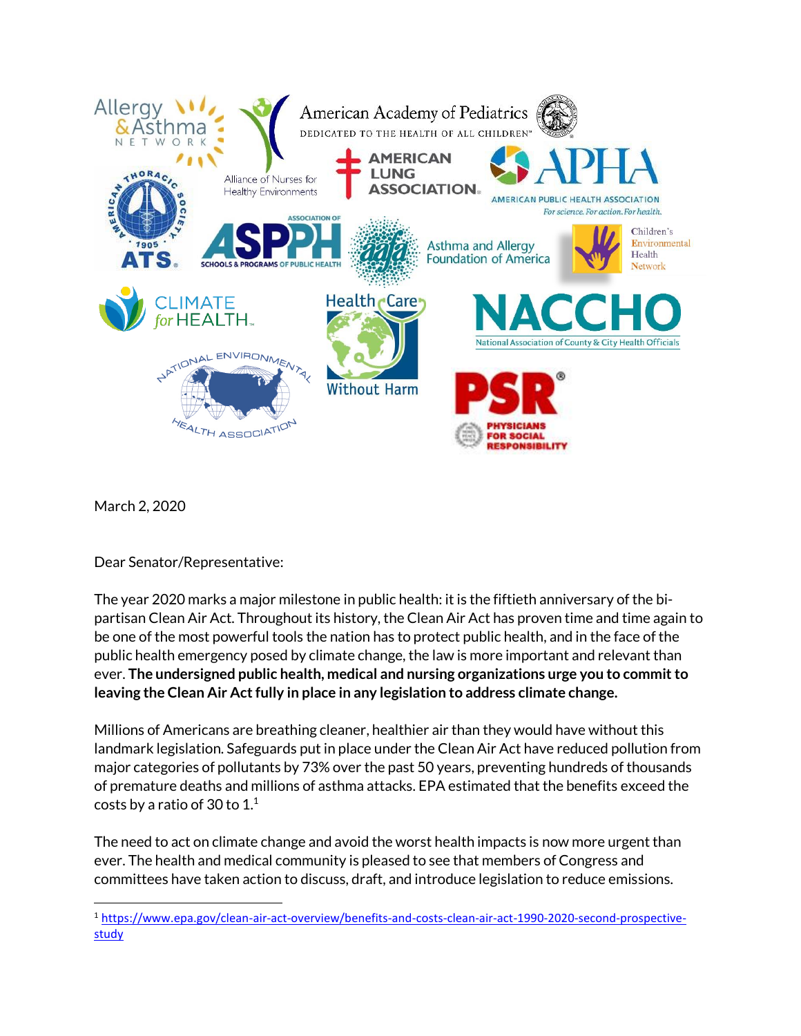

March 2, 2020

Dear Senator/Representative:

The year 2020 marks a major milestone in public health: it is the fiftieth anniversary of the bipartisan Clean Air Act. Throughout its history, the Clean Air Act has proven time and time again to be one of the most powerful tools the nation has to protect public health, and in the face of the public health emergency posed by climate change, the law is more important and relevant than ever. **The undersigned public health, medical and nursing organizations urge you to commit to leaving the Clean Air Act fully in place in any legislation to address climate change.**

Millions of Americans are breathing cleaner, healthier air than they would have without this landmark legislation. Safeguards put in place under the Clean Air Act have reduced pollution from major categories of pollutants by 73% over the past 50 years, preventing hundreds of thousands of premature deaths and millions of asthma attacks. EPA estimated that the benefits exceed the costs by a ratio of 30 to  $1<sup>1</sup>$ 

The need to act on climate change and avoid the worst health impacts is now more urgent than ever. The health and medical community is pleased to see that members of Congress and committees have taken action to discuss, draft, and introduce legislation to reduce emissions.

<sup>1</sup> [https://www.epa.gov/clean-air-act-overview/benefits-and-costs-clean-air-act-1990-2020-second-prospective](https://www.epa.gov/clean-air-act-overview/benefits-and-costs-clean-air-act-1990-2020-second-prospective-study)[study](https://www.epa.gov/clean-air-act-overview/benefits-and-costs-clean-air-act-1990-2020-second-prospective-study)